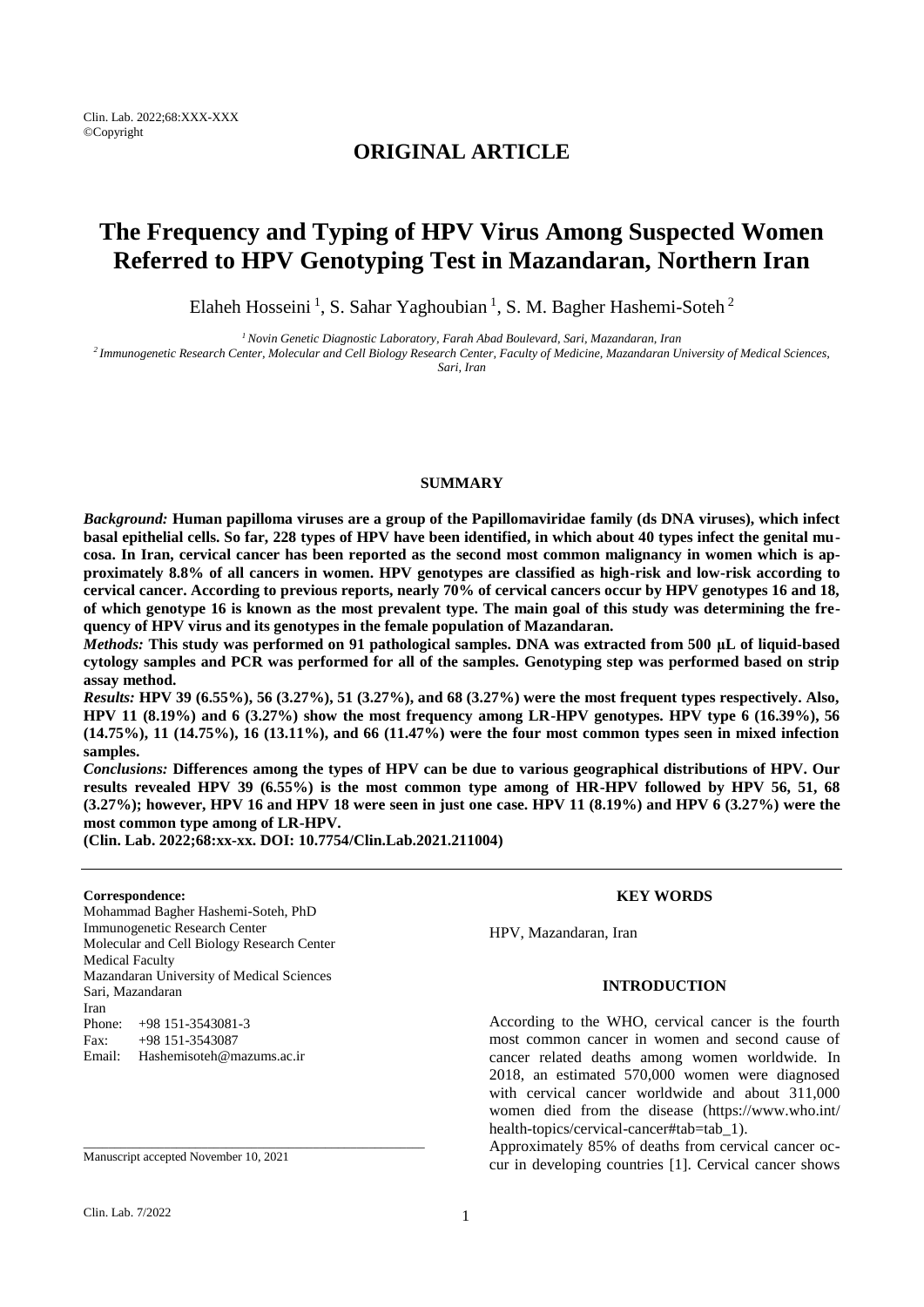# **ORIGINAL ARTICLE**

# **The Frequency and Typing of HPV Virus Among Suspected Women Referred to HPV Genotyping Test in Mazandaran, Northern Iran**

Elaheh Hosseini<sup>1</sup>, S. Sahar Yaghoubian<sup>1</sup>, S. M. Bagher Hashemi-Soteh<sup>2</sup>

*<sup>1</sup>Novin Genetic Diagnostic Laboratory, Farah Abad Boulevard, Sari, Mazandaran, Iran*

*<sup>2</sup>Immunogenetic Research Center, Molecular and Cell Biology Research Center, Faculty of Medicine, Mazandaran University of Medical Sciences, Sari, Iran*

#### **SUMMARY**

*Background:* **Human papilloma viruses are a group of the Papillomaviridae family (ds DNA viruses), which infect basal epithelial cells. So far, 228 types of HPV have been identified, in which about 40 types infect the genital mucosa. In Iran, cervical cancer has been reported as the second most common malignancy in women which is approximately 8.8% of all cancers in women. HPV genotypes are classified as high-risk and low-risk according to cervical cancer. According to previous reports, nearly 70% of cervical cancers occur by HPV genotypes 16 and 18, of which genotype 16 is known as the most prevalent type. The main goal of this study was determining the frequency of HPV virus and its genotypes in the female population of Mazandaran.**

*Methods:* **This study was performed on 91 pathological samples. DNA was extracted from 500 μL of liquid-based cytology samples and PCR was performed for all of the samples. Genotyping step was performed based on strip assay method.**

*Results:* **HPV 39 (6.55%), 56 (3.27%), 51 (3.27%), and 68 (3.27%) were the most frequent types respectively. Also, HPV 11 (8.19%) and 6 (3.27%) show the most frequency among LR-HPV genotypes. HPV type 6 (16.39%), 56 (14.75%), 11 (14.75%), 16 (13.11%), and 66 (11.47%) were the four most common types seen in mixed infection samples.**

*Conclusions:* **Differences among the types of HPV can be due to various geographical distributions of HPV. Our results revealed HPV 39 (6.55%) is the most common type among of HR-HPV followed by HPV 56, 51, 68 (3.27%); however, HPV 16 and HPV 18 were seen in just one case. HPV 11 (8.19%) and HPV 6 (3.27%) were the most common type among of LR-HPV.**

**(Clin. Lab. 2022;68:xx-xx. DOI: 10.7754/Clin.Lab.2021.211004)**

#### **Correspondence:**

Mohammad Bagher Hashemi-Soteh, PhD Immunogenetic Research Center Molecular and Cell Biology Research Center Medical Faculty Mazandaran University of Medical Sciences Sari, Mazandaran Iran Phone: +98 151-3543081-3 Fax: +98 151-3543087 Email: Hashemisoteh@mazums.ac.ir

Manuscript accepted November 10, 2021

\_\_\_\_\_\_\_\_\_\_\_\_\_\_\_\_\_\_\_\_\_\_\_\_\_\_\_\_\_\_\_\_\_\_\_\_\_\_\_\_\_\_\_\_\_\_\_\_\_\_\_\_\_\_\_

# **KEY WORDS**

HPV, Mazandaran, Iran

# **INTRODUCTION**

According to the WHO, cervical cancer is the fourth most common cancer in women and second cause of cancer related deaths among women worldwide. In 2018, an estimated 570,000 women were diagnosed with cervical cancer worldwide and about 311,000 women died from the disease [\(https://www.who.int/](https://www.who.int/%20health-topics/cervical-cancer#tab=tab_1)  [health-topics/cervical-cancer#tab=tab\\_1\)](https://www.who.int/%20health-topics/cervical-cancer#tab=tab_1).

Approximately 85% of deaths from cervical cancer occur in developing countries [1]. Cervical cancer shows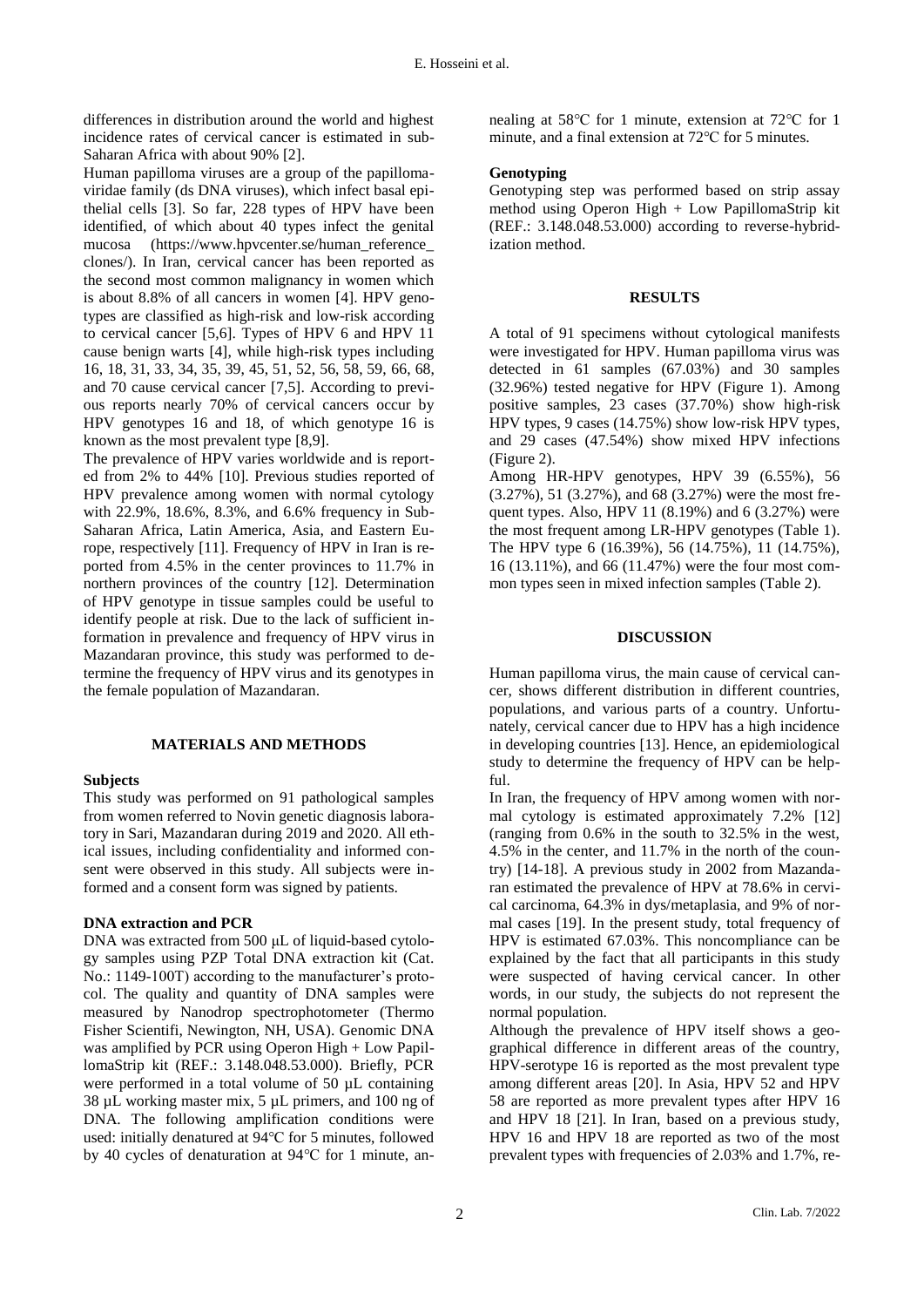differences in distribution around the world and highest incidence rates of cervical cancer is estimated in sub-Saharan Africa with about 90% [2].

Human papilloma viruses are a group of the papillomaviridae family (ds DNA viruses), which infect basal epithelial cells [3]. So far, 228 types of HPV have been identified, of which about 40 types infect the genital mucosa [\(https://www.hpvcenter.se/human\\_reference\\_](https://www.hpvcenter.se/human_reference_%20clones/)  [clones/\)](https://www.hpvcenter.se/human_reference_%20clones/). In Iran, cervical cancer has been reported as the second most common malignancy in women which is about 8.8% of all cancers in women [4]. HPV genotypes are classified as high-risk and low-risk according to cervical cancer [5,6]. Types of HPV 6 and HPV 11 cause benign warts [4], while high-risk types including 16, 18, 31, 33, 34, 35, 39, 45, 51, 52, 56, 58, 59, 66, 68, and 70 cause cervical cancer [7,5]. According to previous reports nearly 70% of cervical cancers occur by HPV genotypes 16 and 18, of which genotype 16 is known as the most prevalent type [8,9].

The prevalence of HPV varies worldwide and is reported from 2% to 44% [10]. Previous studies reported of HPV prevalence among women with normal cytology with 22.9%, 18.6%, 8.3%, and 6.6% frequency in Sub-Saharan Africa, Latin America, Asia, and Eastern Europe, respectively [11]. Frequency of HPV in Iran is reported from 4.5% in the center provinces to 11.7% in northern provinces of the country [12]. Determination of HPV genotype in tissue samples could be useful to identify people at risk. Due to the lack of sufficient information in prevalence and frequency of HPV virus in Mazandaran province, this study was performed to determine the frequency of HPV virus and its genotypes in the female population of Mazandaran.

#### **MATERIALS AND METHODS**

#### **Subjects**

This study was performed on 91 pathological samples from women referred to Novin genetic diagnosis laboratory in Sari, Mazandaran during 2019 and 2020. All ethical issues, including confidentiality and informed consent were observed in this study. All subjects were informed and a consent form was signed by patients.

#### **DNA extraction and PCR**

DNA was extracted from 500 μL of liquid-based cytology samples using PZP Total DNA extraction kit (Cat. No.: 1149-100T) according to the manufacturer's protocol. The quality and quantity of DNA samples were measured by Nanodrop spectrophotometer (Thermo Fisher Scientifi, Newington, NH, USA). Genomic DNA was amplified by PCR using Operon High + Low PapillomaStrip kit (REF.: 3.148.048.53.000). Briefly, PCR were performed in a total volume of 50 µL containing 38 µL working master mix, 5 µL primers, and 100 ng of DNA. The following amplification conditions were used: initially denatured at 94℃ for 5 minutes, followed by 40 cycles of denaturation at 94℃ for 1 minute, annealing at 58℃ for 1 minute, extension at 72℃ for 1 minute, and a final extension at 72℃ for 5 minutes.

#### **Genotyping**

Genotyping step was performed based on strip assay method using Operon High + Low PapillomaStrip kit (REF.: 3.148.048.53.000) according to reverse-hybridization method.

## **RESULTS**

A total of 91 specimens without cytological manifests were investigated for HPV. Human papilloma virus was detected in 61 samples (67.03%) and 30 samples (32.96%) tested negative for HPV (Figure 1). Among positive samples, 23 cases (37.70%) show high-risk HPV types, 9 cases (14.75%) show low-risk HPV types, and 29 cases (47.54%) show mixed HPV infections (Figure 2).

Among HR-HPV genotypes, HPV 39 (6.55%), 56 (3.27%), 51 (3.27%), and 68 (3.27%) were the most frequent types. Also, HPV 11 (8.19%) and 6 (3.27%) were the most frequent among LR-HPV genotypes (Table 1). The HPV type 6 (16.39%), 56 (14.75%), 11 (14.75%), 16 (13.11%), and 66 (11.47%) were the four most common types seen in mixed infection samples (Table 2).

## **DISCUSSION**

Human papilloma virus, the main cause of cervical cancer, shows different distribution in different countries, populations, and various parts of a country. Unfortunately, cervical cancer due to HPV has a high incidence in developing countries [13]. Hence, an epidemiological study to determine the frequency of HPV can be helpful.

In Iran, the frequency of HPV among women with normal cytology is estimated approximately 7.2% [12] (ranging from 0.6% in the south to 32.5% in the west, 4.5% in the center, and 11.7% in the north of the country) [14-18]. A previous study in 2002 from Mazandaran estimated the prevalence of HPV at 78.6% in cervical carcinoma, 64.3% in dys/metaplasia, and 9% of normal cases [19]. In the present study, total frequency of HPV is estimated 67.03%. This noncompliance can be explained by the fact that all participants in this study were suspected of having cervical cancer. In other words, in our study, the subjects do not represent the normal population.

Although the prevalence of HPV itself shows a geographical difference in different areas of the country, HPV-serotype 16 is reported as the most prevalent type among different areas [20]. In Asia, HPV 52 and HPV 58 are reported as more prevalent types after HPV 16 and HPV 18 [21]. In Iran, based on a previous study, HPV 16 and HPV 18 are reported as two of the most prevalent types with frequencies of 2.03% and 1.7%, re-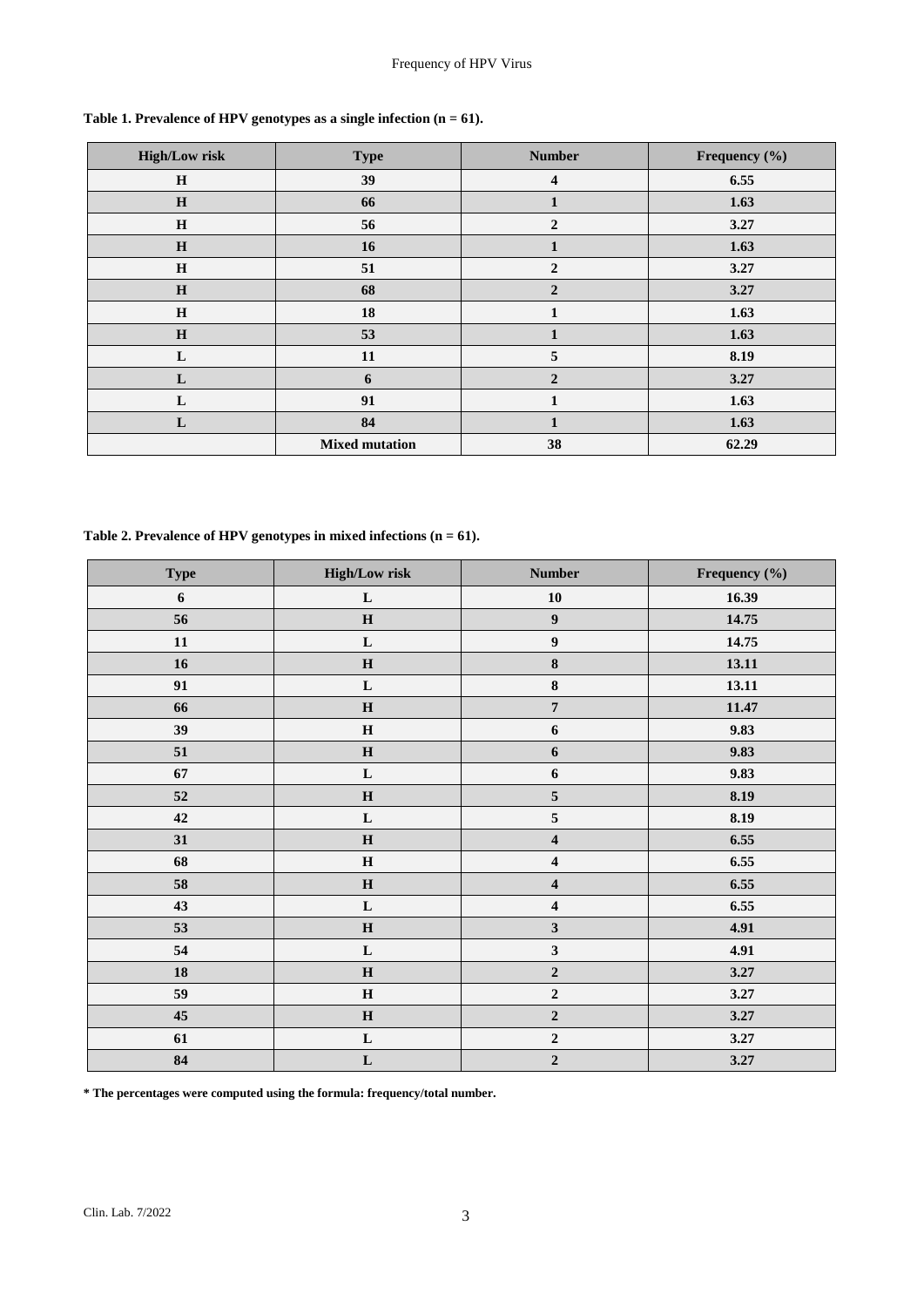| <b>High/Low risk</b> | <b>Type</b>           | <b>Number</b>    | Frequency (%) |  |
|----------------------|-----------------------|------------------|---------------|--|
| H                    | 39                    | $\boldsymbol{4}$ | 6.55          |  |
| H                    | 66                    | $\mathbf{1}$     | 1.63          |  |
| H                    | 56                    | $\overline{2}$   | 3.27          |  |
| H                    | 16                    | $\mathbf{1}$     | 1.63          |  |
| H                    | 51                    | $\overline{2}$   | 3.27          |  |
| $\bf H$              | 68                    | $\overline{2}$   | 3.27          |  |
| $\mathbf H$          | 18                    | 1                | 1.63          |  |
| $\bf H$              | 53                    | 1                | 1.63          |  |
| L                    | 11                    | 5                | 8.19          |  |
| L                    | 6                     | $\overline{2}$   | 3.27          |  |
| L                    | 91                    | 1                | 1.63          |  |
| L                    | 84                    | 1                | 1.63          |  |
|                      | <b>Mixed mutation</b> | 38               | 62.29         |  |

**Table 1. Prevalence of HPV genotypes as a single infection (n = 61).**

**Table 2. Prevalence of HPV genotypes in mixed infections (n = 61).**

| <b>Type</b>      | <b>High/Low risk</b> | <b>Number</b>           | Frequency (%) |  |
|------------------|----------------------|-------------------------|---------------|--|
| $\boldsymbol{6}$ | ${\bf L}$            | ${\bf 10}$              | 16.39         |  |
| 56               | $\mathbf H$          | $\boldsymbol{9}$        | 14.75         |  |
| 11               | ${\bf L}$            | $\boldsymbol{9}$        | 14.75         |  |
| $16$             | $\mathbf H$          | ${\bf 8}$               | 13.11         |  |
| 91               | $\mathbf L$          | $\bf 8$                 | 13.11         |  |
| 66               | $\mathbf H$          | $\overline{7}$          | 11.47         |  |
| 39               | $\mathbf H$          | $\boldsymbol{6}$        | 9.83          |  |
| 51               | $\mathbf H$          | $\boldsymbol{6}$        | 9.83          |  |
| 67               | ${\bf L}$            | $\boldsymbol{6}$        | 9.83          |  |
| $52\,$           | $\mathbf H$          | $\mathbf 5$             | 8.19          |  |
| 42               | $\mathbf L$          | 5                       | 8.19          |  |
| 31               | $\mathbf H$          | $\overline{\mathbf{4}}$ | 6.55          |  |
| 68               | $\mathbf H$          | $\overline{\mathbf{4}}$ | 6.55          |  |
| 58               | $\mathbf H$          | $\overline{\mathbf{4}}$ | 6.55          |  |
| 43               | ${\bf L}$            | $\overline{\mathbf{4}}$ | 6.55          |  |
| 53               | $\mathbf H$          | $\mathbf{3}$            | 4.91          |  |
| 54               | ${\bf L}$            | $\mathbf{3}$            | 4.91          |  |
| 18               | $\mathbf H$          | $\overline{2}$          | 3.27          |  |
| 59               | $\mathbf H$          | $\mathbf 2$             | 3.27          |  |
| 45               | $\mathbf H$          | $\mathbf 2$             | 3.27          |  |
| 61               | ${\bf L}$            | $\mathbf 2$             | 3.27          |  |
| 84               | $\mathbf L$          | $\mathbf 2$             | 3.27          |  |

**\* The percentages were computed using the formula: frequency/total number.**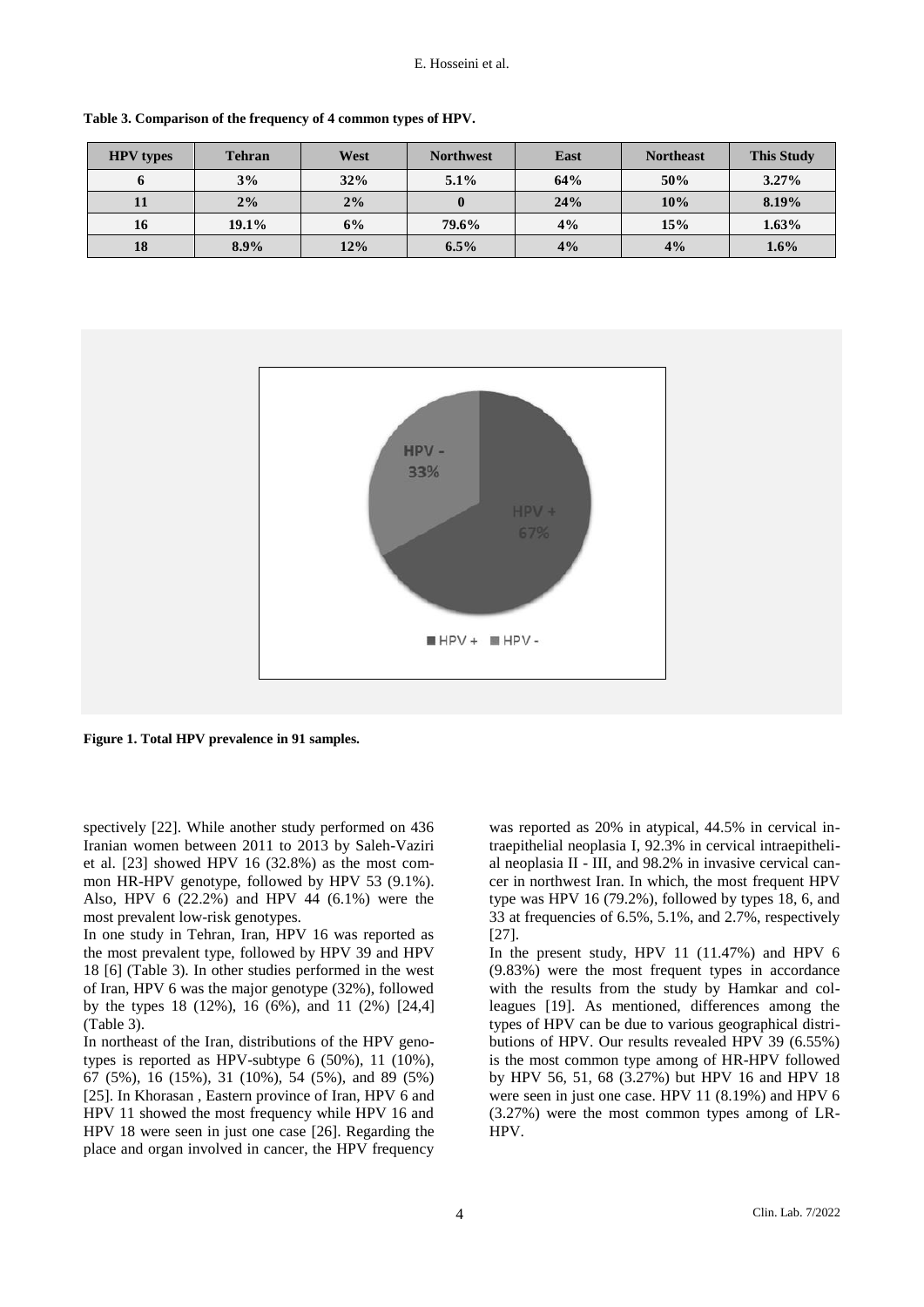| <b>HPV</b> types | <b>Tehran</b> | West | <b>Northwest</b> | East | <b>Northeast</b> | <b>This Study</b> |
|------------------|---------------|------|------------------|------|------------------|-------------------|
|                  | 3%            | 32%  | $5.1\%$          | 64%  | 50%              | $3.27\%$          |
|                  | $2\%$         | 2%   |                  | 24%  | 10%              | 8.19%             |
| 16               | 19.1%         | 6%   | 79.6%            | 4%   | 15%              | 1.63%             |
| 18               | $8.9\%$       | 12%  | $6.5\%$          | 4%   | 4%               | $1.6\%$           |

**Table 3. Comparison of the frequency of 4 common types of HPV.**



**Figure 1. Total HPV prevalence in 91 samples.**

spectively [22]. While another study performed on 436 Iranian women between 2011 to 2013 by Saleh-Vaziri et al. [23] showed HPV 16 (32.8%) as the most common HR-HPV genotype, followed by HPV 53 (9.1%). Also, HPV 6 (22.2%) and HPV 44 (6.1%) were the most prevalent low-risk genotypes.

In one study in Tehran, Iran, HPV 16 was reported as the most prevalent type, followed by HPV 39 and HPV 18 [6] (Table 3). In other studies performed in the west of Iran, HPV 6 was the major genotype (32%), followed by the types 18 (12%), 16 (6%), and 11 (2%) [24,4] (Table 3).

In northeast of the Iran, distributions of the HPV genotypes is reported as HPV-subtype 6 (50%), 11 (10%), 67 (5%), 16 (15%), 31 (10%), 54 (5%), and 89 (5%) [25]. In Khorasan, Eastern province of Iran, HPV 6 and HPV 11 showed the most frequency while HPV 16 and HPV 18 were seen in just one case [26]. Regarding the place and organ involved in cancer, the HPV frequency was reported as 20% in atypical, 44.5% in cervical intraepithelial neoplasia I, 92.3% in cervical intraepithelial neoplasia II - III, and 98.2% in invasive cervical cancer in northwest Iran. In which, the most frequent HPV type was HPV 16 (79.2%), followed by types 18, 6, and 33 at frequencies of 6.5%, 5.1%, and 2.7%, respectively [27].

In the present study, HPV 11 (11.47%) and HPV 6 (9.83%) were the most frequent types in accordance with the results from the study by Hamkar and colleagues [19]. As mentioned, differences among the types of HPV can be due to various geographical distributions of HPV. Our results revealed HPV 39 (6.55%) is the most common type among of HR-HPV followed by HPV 56, 51, 68 (3.27%) but HPV 16 and HPV 18 were seen in just one case. HPV 11 (8.19%) and HPV 6 (3.27%) were the most common types among of LR-HPV.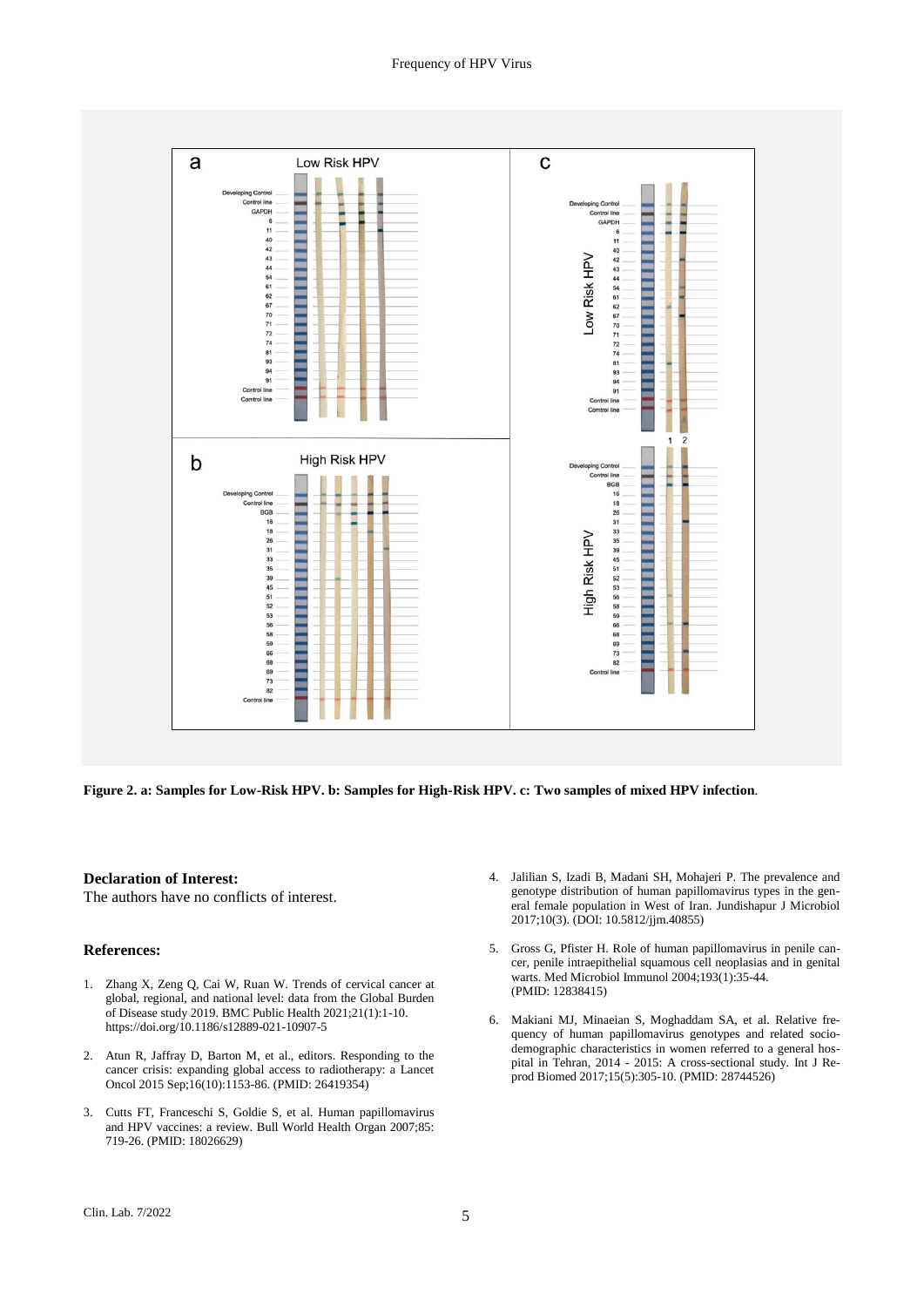

**Figure 2. a: Samples for Low-Risk HPV. b: Samples for High-Risk HPV. c: Two samples of mixed HPV infection***.*

#### **Declaration of Interest:**

The authors have no conflicts of interest.

## **References:**

- 1. Zhang X, Zeng Q, Cai W, Ruan W. Trends of cervical cancer at global, regional, and national level: data from the Global Burden of Disease study 2019. BMC Public Health 2021;21(1):1-10. https://doi.org/10.1186/s12889-021-10907-5
- 2. Atun R, Jaffray D, Barton M, et al., editors. Responding to the cancer crisis: expanding global access to radiotherapy: a Lancet Oncol 2015 Sep;16(10):1153-86. (PMID: 26419354)
- 3. Cutts FT, Franceschi S, Goldie S, et al. Human papillomavirus and HPV vaccines: a review. Bull World Health Organ 2007;85: 719-26. (PMID: 18026629)
- 4. Jalilian S, Izadi B, Madani SH, Mohajeri P. The prevalence and genotype distribution of human papillomavirus types in the general female population in West of Iran. Jundishapur J Microbiol 2017;10(3). (DOI: 10.5812/jjm.40855)
- 5. Gross G, Pfister H. Role of human papillomavirus in penile cancer, penile intraepithelial squamous cell neoplasias and in genital warts. Med Microbiol Immunol 2004;193(1):35-44. (PMID: 12838415)
- 6. Makiani MJ, Minaeian S, Moghaddam SA, et al. Relative frequency of human papillomavirus genotypes and related sociodemographic characteristics in women referred to a general hospital in Tehran, 2014 - 2015: A cross-sectional study. Int J Reprod Biomed 2017;15(5):305-10. (PMID: 28744526)